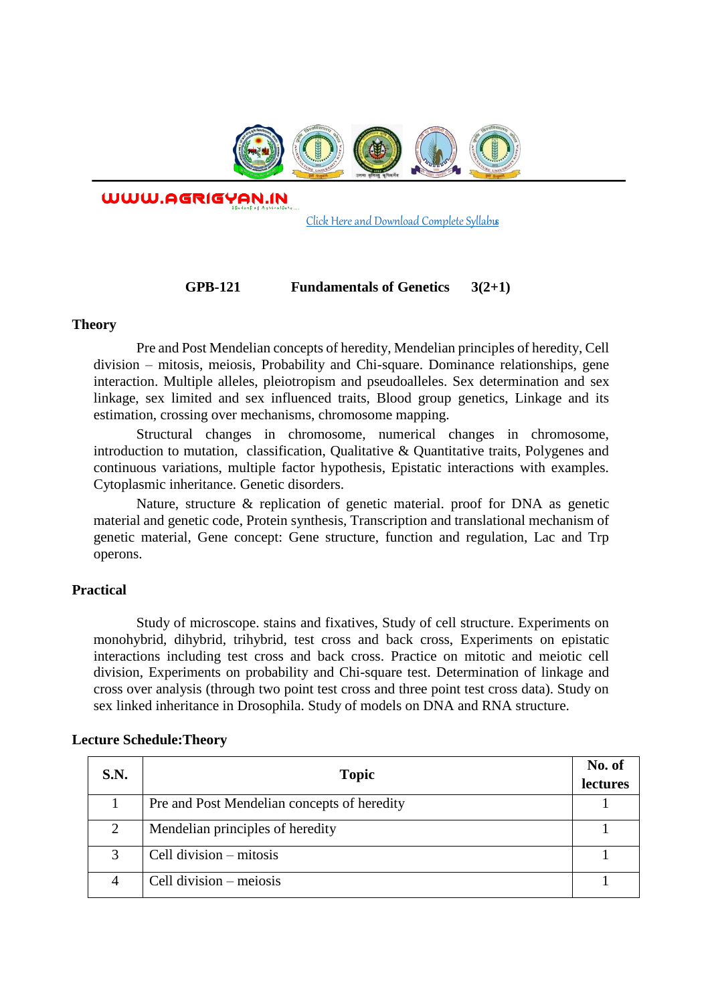

WWW.AGRIGYAN.IN

[Click Here and Download Complete Syllabus](http://agrigyan.in/)

## **GPB-121 Fundamentals of Genetics 3(2+1)**

### **Theory**

 $\overline{a}$ 

Pre and Post Mendelian concepts of heredity, Mendelian principles of heredity, Cell division – mitosis, meiosis, Probability and Chi-square. Dominance relationships, gene interaction. Multiple alleles, pleiotropism and pseudoalleles. Sex determination and sex linkage, sex limited and sex influenced traits, Blood group genetics, Linkage and its estimation, crossing over mechanisms, chromosome mapping.

Structural changes in chromosome, numerical changes in chromosome, introduction to mutation, classification, Qualitative & Quantitative traits, Polygenes and continuous variations, multiple factor hypothesis, Epistatic interactions with examples. Cytoplasmic inheritance. Genetic disorders.

Nature, structure & replication of genetic material. proof for DNA as genetic material and genetic code, Protein synthesis, Transcription and translational mechanism of genetic material, Gene concept: Gene structure, function and regulation, Lac and Trp operons.

## **Practical**

Study of microscope. stains and fixatives, Study of cell structure. Experiments on monohybrid, dihybrid, trihybrid, test cross and back cross, Experiments on epistatic interactions including test cross and back cross. Practice on mitotic and meiotic cell division, Experiments on probability and Chi-square test. Determination of linkage and cross over analysis (through two point test cross and three point test cross data). Study on sex linked inheritance in Drosophila. Study of models on DNA and RNA structure.

| S.N. | <b>Topic</b>                                | No. of<br>lectures |
|------|---------------------------------------------|--------------------|
|      | Pre and Post Mendelian concepts of heredity |                    |
| 2    | Mendelian principles of heredity            |                    |
| 3    | Cell division – mitosis                     |                    |
| 4    | Cell division $-$ meiosis                   |                    |

## **Lecture Schedule:Theory**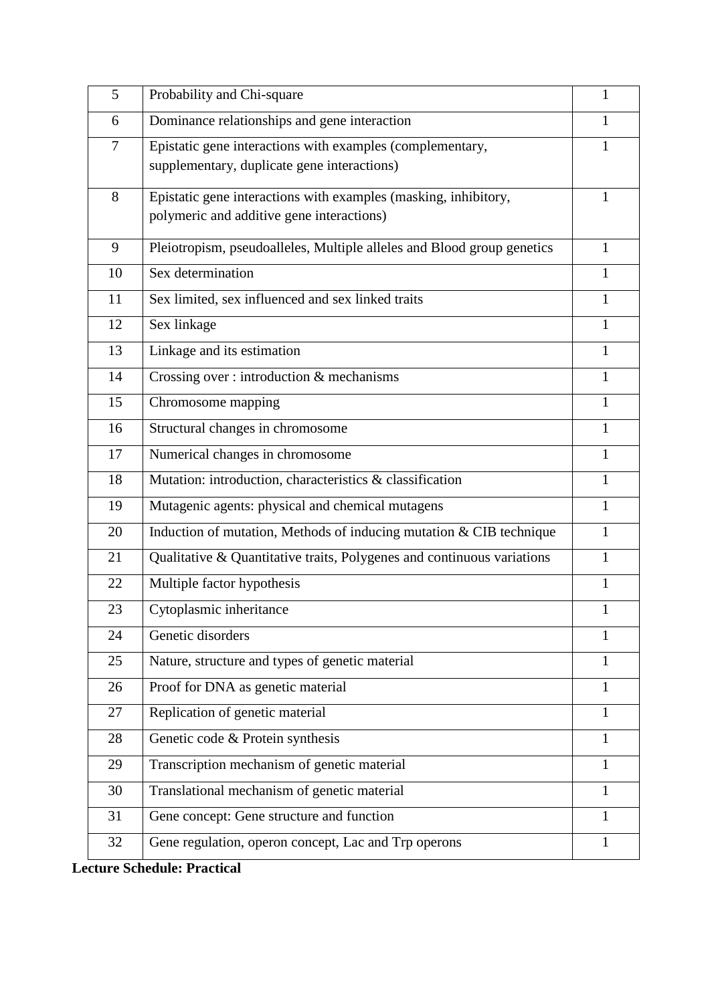| 5      | Probability and Chi-square                                                                                   | $\mathbf{1}$ |
|--------|--------------------------------------------------------------------------------------------------------------|--------------|
| 6      | Dominance relationships and gene interaction                                                                 | 1            |
| $\tau$ | Epistatic gene interactions with examples (complementary,<br>supplementary, duplicate gene interactions)     | $\mathbf{1}$ |
| 8      | Epistatic gene interactions with examples (masking, inhibitory,<br>polymeric and additive gene interactions) | 1            |
| 9      | Pleiotropism, pseudoalleles, Multiple alleles and Blood group genetics                                       | $\mathbf{1}$ |
| 10     | Sex determination                                                                                            | 1            |
| 11     | Sex limited, sex influenced and sex linked traits                                                            | $\mathbf{1}$ |
| 12     | Sex linkage                                                                                                  | 1            |
| 13     | Linkage and its estimation                                                                                   | 1            |
| 14     | Crossing over: introduction & mechanisms                                                                     | 1            |
| 15     | Chromosome mapping                                                                                           | 1            |
| 16     | Structural changes in chromosome                                                                             | $\mathbf{1}$ |
| 17     | Numerical changes in chromosome                                                                              | $\mathbf{1}$ |
| 18     | Mutation: introduction, characteristics & classification                                                     | $\mathbf{1}$ |
| 19     | Mutagenic agents: physical and chemical mutagens                                                             | $\mathbf{1}$ |
| 20     | Induction of mutation, Methods of inducing mutation & CIB technique                                          | 1            |
| 21     | Qualitative & Quantitative traits, Polygenes and continuous variations                                       | $\mathbf{1}$ |
| 22     | Multiple factor hypothesis                                                                                   | $\mathbf{1}$ |
| 23     | Cytoplasmic inheritance                                                                                      | 1            |
| 24     | Genetic disorders                                                                                            | $\mathbf{1}$ |
| 25     | Nature, structure and types of genetic material                                                              | $\mathbf{1}$ |
| 26     | Proof for DNA as genetic material                                                                            | $\mathbf{1}$ |
| 27     | Replication of genetic material                                                                              | $\mathbf{1}$ |
| 28     | Genetic code & Protein synthesis                                                                             | $\mathbf{1}$ |
| 29     | Transcription mechanism of genetic material                                                                  | $\mathbf{1}$ |
| 30     | Translational mechanism of genetic material                                                                  | $\mathbf{1}$ |
| 31     | Gene concept: Gene structure and function                                                                    | 1            |
| 32     | Gene regulation, operon concept, Lac and Trp operons                                                         | 1            |

**Lecture Schedule: Practical**